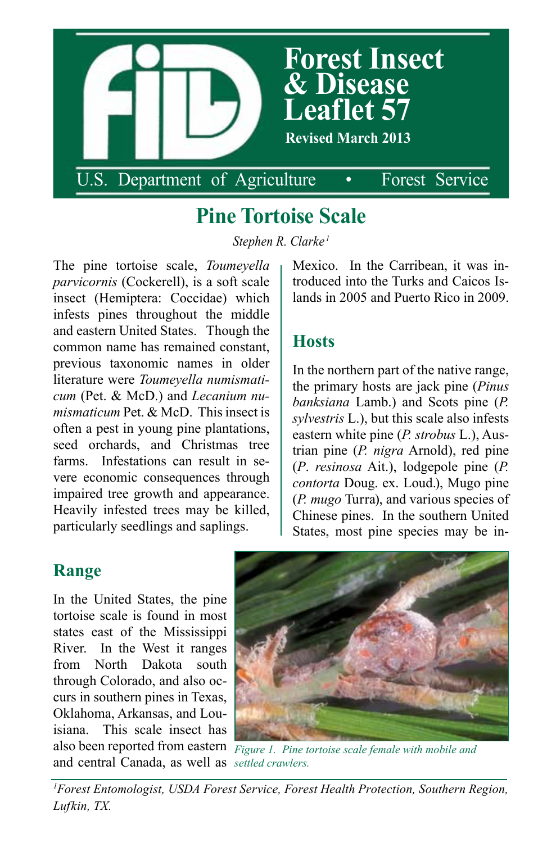

# **Pine Tortoise Scale**

*Stephen R. Clarke <sup>1</sup>*

The pine tortoise scale, *Toumeyella parvicornis* (Cockerell), is a soft scale insect (Hemiptera: Coccidae) which infests pines throughout the middle and eastern United States. Though the common name has remained constant, previous taxonomic names in older literature were *Toumeyella numismaticum* (Pet. & McD.) and *Lecanium numismaticum* Pet. & McD. This insect is often a pest in young pine plantations, seed orchards, and Christmas tree farms. Infestations can result in severe economic consequences through impaired tree growth and appearance. Heavily infested trees may be killed, particularly seedlings and saplings.

Mexico. In the Carribean, it was introduced into the Turks and Caicos Islands in 2005 and Puerto Rico in 2009.

### **Hosts**

In the northern part of the native range, the primary hosts are jack pine (*Pinus banksiana* Lamb.) and Scots pine (*P. sylvestris* L.), but this scale also infests eastern white pine (*P. strobus* L.), Austrian pine (*P. nigra* Arnold), red pine (*P*. *resinosa* Ait.), lodgepole pine (*P. contorta* Doug. ex. Loud.), Mugo pine (*P. mugo* Turra), and various species of Chinese pines. In the southern United States, most pine species may be in-

#### **Range**

*settled crawlers.* and central Canada, as well as In the United States, the pine tortoise scale is found in most states east of the Mississippi River. In the West it ranges from North Dakota south through Colorado, and also occurs in southern pines in Texas, Oklahoma, Arkansas, and Louisiana. This scale insect has



also been reported from eastern Figure 1. Pine tortoise scale female with mobile and

*1 Forest Entomologist, USDA Forest Service, Forest Health Protection, Southern Region, Lufkin, TX.*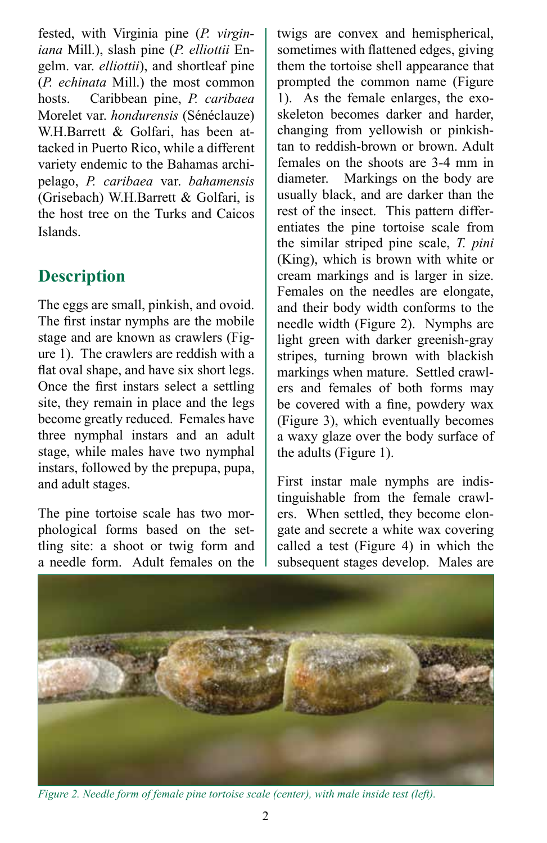fested, with Virginia pine (*P. virginiana* Mill.), slash pine (*P. elliottii* Engelm. var. *elliottii*), and shortleaf pine (*P. echinata* Mill.) the most common hosts. Caribbean pine, *P. caribaea*  Morelet var. *hondurensis* (Sénéclauze) W.H.Barrett & Golfari, has been attacked in Puerto Rico, while a different variety endemic to the Bahamas archipelago, *P. caribaea* var. *bahamensis*  (Grisebach) W.H.Barrett & Golfari, is the host tree on the Turks and Caicos Islands.

## **Description**

The eggs are small, pinkish, and ovoid. The first instar nymphs are the mobile stage and are known as crawlers (Figure 1). The crawlers are reddish with a flat oval shape, and have six short legs. Once the first instars select a settling site, they remain in place and the legs become greatly reduced. Females have three nymphal instars and an adult stage, while males have two nymphal instars, followed by the prepupa, pupa, and adult stages.

The pine tortoise scale has two morphological forms based on the settling site: a shoot or twig form and a needle form. Adult females on the

twigs are convex and hemispherical, sometimes with flattened edges, giving them the tortoise shell appearance that prompted the common name (Figure 1). As the female enlarges, the exoskeleton becomes darker and harder, changing from yellowish or pinkishtan to reddish-brown or brown. Adult females on the shoots are 3-4 mm in diameter. Markings on the body are usually black, and are darker than the rest of the insect. This pattern differentiates the pine tortoise scale from the similar striped pine scale, *T. pini* (King), which is brown with white or cream markings and is larger in size. Females on the needles are elongate, and their body width conforms to the needle width (Figure 2). Nymphs are light green with darker greenish-gray stripes, turning brown with blackish markings when mature. Settled crawlers and females of both forms may be covered with a fine, powdery wax (Figure 3), which eventually becomes a waxy glaze over the body surface of the adults (Figure 1).

First instar male nymphs are indistinguishable from the female crawlers. When settled, they become elongate and secrete a white wax covering called a test (Figure 4) in which the subsequent stages develop. Males are



*Figure 2. Needle form of female pine tortoise scale (center), with male inside test (left).*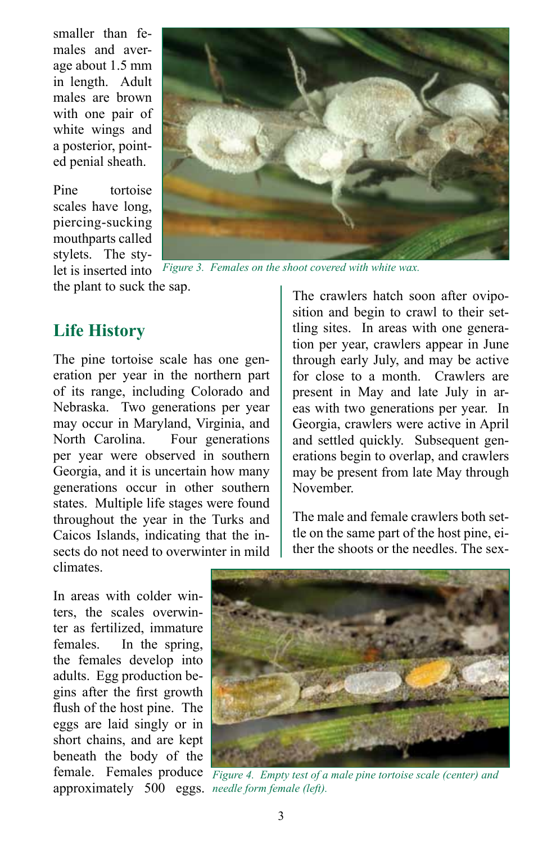smaller than females and average about 1.5 mm in length. Adult males are brown with one pair of white wings and a posterior, pointed penial sheath.

Pine tortoise scales have long, piercing-sucking mouthparts called stylets. The stylet is inserted into



*Figure 3. Females on the shoot covered with white wax.*

the plant to suck the sap.

#### **Life History**

The pine tortoise scale has one generation per year in the northern part of its range, including Colorado and Nebraska. Two generations per year may occur in Maryland, Virginia, and North Carolina. Four generations per year were observed in southern Georgia, and it is uncertain how many generations occur in other southern states. Multiple life stages were found throughout the year in the Turks and Caicos Islands, indicating that the insects do not need to overwinter in mild climates.

The crawlers hatch soon after oviposition and begin to crawl to their settling sites. In areas with one generation per year, crawlers appear in June through early July, and may be active for close to a month. Crawlers are present in May and late July in areas with two generations per year. In Georgia, crawlers were active in April and settled quickly. Subsequent generations begin to overlap, and crawlers may be present from late May through November.

The male and female crawlers both settle on the same part of the host pine, either the shoots or the needles. The sex-

In areas with colder winters, the scales overwinter as fertilized, immature females. In the spring, the females develop into adults. Egg production begins after the first growth flush of the host pine. The eggs are laid singly or in short chains, and are kept beneath the body of the approximately 500 eggs. *needle form female (left).*



female. Females produce Figure 4. Empty test of a male pine tortoise scale (center) and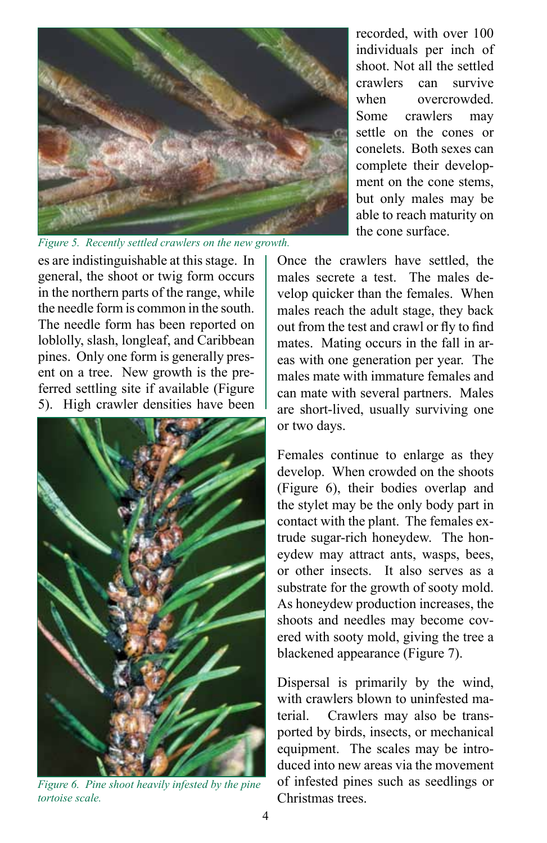

*Figure 5. Recently settled crawlers on the new growth.*

es are indistinguishable at this stage. In general, the shoot or twig form occurs in the northern parts of the range, while the needle form is common in the south. The needle form has been reported on loblolly, slash, longleaf, and Caribbean pines. Only one form is generally present on a tree. New growth is the preferred settling site if available (Figure 5). High crawler densities have been



*Figure 6. Pine shoot heavily infested by the pine tortoise scale.*

recorded, with over 100 individuals per inch of shoot. Not all the settled crawlers can survive when overcrowded Some crawlers may settle on the cones or conelets. Both sexes can complete their development on the cone stems, but only males may be able to reach maturity on the cone surface.

Once the crawlers have settled, the males secrete a test. The males develop quicker than the females. When males reach the adult stage, they back out from the test and crawl or fly to find mates. Mating occurs in the fall in areas with one generation per year. The males mate with immature females and can mate with several partners. Males are short-lived, usually surviving one or two days.

Females continue to enlarge as they develop. When crowded on the shoots (Figure 6), their bodies overlap and the stylet may be the only body part in contact with the plant. The females extrude sugar-rich honeydew. The honeydew may attract ants, wasps, bees, or other insects. It also serves as a substrate for the growth of sooty mold. As honeydew production increases, the shoots and needles may become covered with sooty mold, giving the tree a blackened appearance (Figure 7).

Dispersal is primarily by the wind, with crawlers blown to uninfested material. Crawlers may also be transported by birds, insects, or mechanical equipment. The scales may be introduced into new areas via the movement of infested pines such as seedlings or Christmas trees.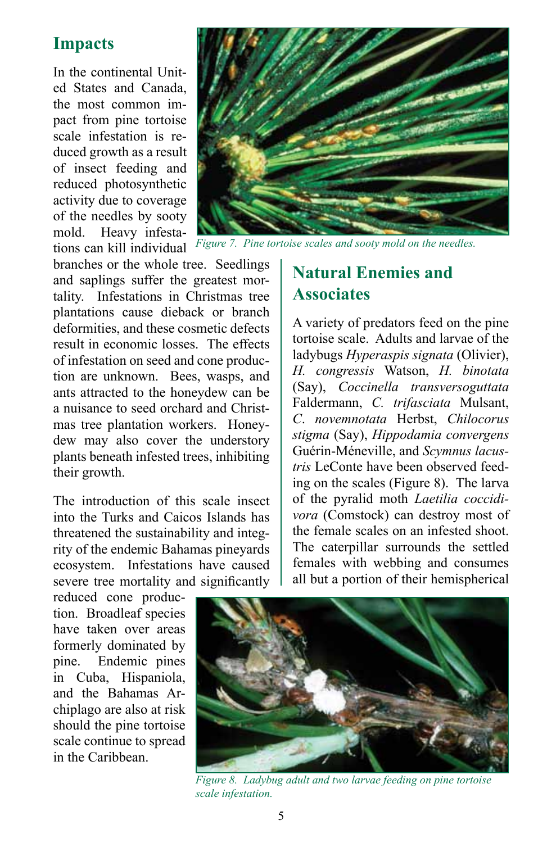#### **Impacts**

In the continental United States and Canada, the most common impact from pine tortoise scale infestation is reduced growth as a result of insect feeding and reduced photosynthetic activity due to coverage of the needles by sooty mold. Heavy infestations can kill individual



*Figure 7. Pine tortoise scales and sooty mold on the needles.*

branches or the whole tree. Seedlings and saplings suffer the greatest mortality. Infestations in Christmas tree plantations cause dieback or branch deformities, and these cosmetic defects result in economic losses. The effects of infestation on seed and cone production are unknown. Bees, wasps, and ants attracted to the honeydew can be a nuisance to seed orchard and Christmas tree plantation workers. Honeydew may also cover the understory plants beneath infested trees, inhibiting their growth.

The introduction of this scale insect into the Turks and Caicos Islands has threatened the sustainability and integrity of the endemic Bahamas pineyards ecosystem. Infestations have caused severe tree mortality and significantly

### **Natural Enemies and Associates**

A variety of predators feed on the pine tortoise scale. Adults and larvae of the ladybugs *Hyperaspis signata* (Olivier), *H. congressis* Watson, *H. binotata*  (Say), *Coccinella transversoguttata*  Faldermann, *C. trifasciata* Mulsant, *C*. *novemnotata* Herbst, *Chilocorus stigma* (Say), *Hippodamia convergens*  Guérin-Méneville, and *Scymnus lacustris* LeConte have been observed feeding on the scales (Figure 8). The larva of the pyralid moth *Laetilia coccidivora* (Comstock) can destroy most of the female scales on an infested shoot. The caterpillar surrounds the settled females with webbing and consumes all but a portion of their hemispherical

reduced cone production. Broadleaf species have taken over areas formerly dominated by pine. Endemic pines in Cuba, Hispaniola, and the Bahamas Archiplago are also at risk should the pine tortoise scale continue to spread in the Caribbean.



*Figure 8. Ladybug adult and two larvae feeding on pine tortoise scale infestation.*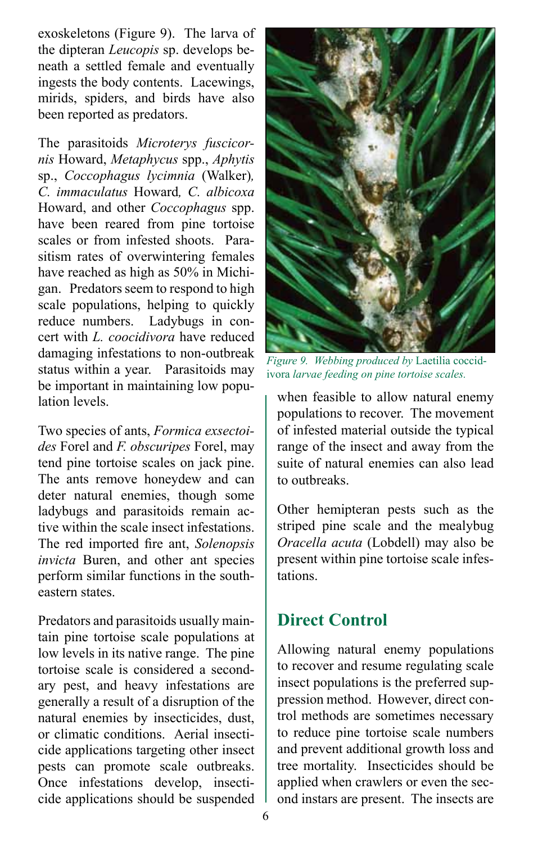exoskeletons (Figure 9). The larva of the dipteran *Leucopis* sp. develops beneath a settled female and eventually ingests the body contents. Lacewings, mirids, spiders, and birds have also been reported as predators.

The parasitoids *Microterys fuscicornis* Howard, *Metaphycus* spp., *Aphytis* sp., *Coccophagus lycimnia* (Walker)*, C. immaculatus* Howard*, C. albicoxa* Howard, and other *Coccophagus* spp. have been reared from pine tortoise scales or from infested shoots. Parasitism rates of overwintering females have reached as high as 50% in Michigan. Predators seem to respond to high scale populations, helping to quickly reduce numbers. Ladybugs in concert with *L. coocidivora* have reduced damaging infestations to non-outbreak status within a year. Parasitoids may be important in maintaining low population levels.

Two species of ants, *Formica exsectoides* Forel and *F. obscuripes* Forel, may tend pine tortoise scales on jack pine. The ants remove honeydew and can deter natural enemies, though some ladybugs and parasitoids remain active within the scale insect infestations. The red imported fire ant, *Solenopsis invicta* Buren, and other ant species perform similar functions in the southeastern states.

Predators and parasitoids usually maintain pine tortoise scale populations at low levels in its native range. The pine tortoise scale is considered a secondary pest, and heavy infestations are generally a result of a disruption of the natural enemies by insecticides, dust, or climatic conditions. Aerial insecticide applications targeting other insect pests can promote scale outbreaks. Once infestations develop, insecticide applications should be suspended



*Figure 9. Webbing produced by* Laetilia coccidivora *larvae feeding on pine tortoise scales.*

when feasible to allow natural enemy populations to recover. The movement of infested material outside the typical range of the insect and away from the suite of natural enemies can also lead to outbreaks.

Other hemipteran pests such as the striped pine scale and the mealybug *Oracella acuta* (Lobdell) may also be present within pine tortoise scale infestations.

## **Direct Control**

Allowing natural enemy populations to recover and resume regulating scale insect populations is the preferred suppression method. However, direct control methods are sometimes necessary to reduce pine tortoise scale numbers and prevent additional growth loss and tree mortality. Insecticides should be applied when crawlers or even the second instars are present. The insects are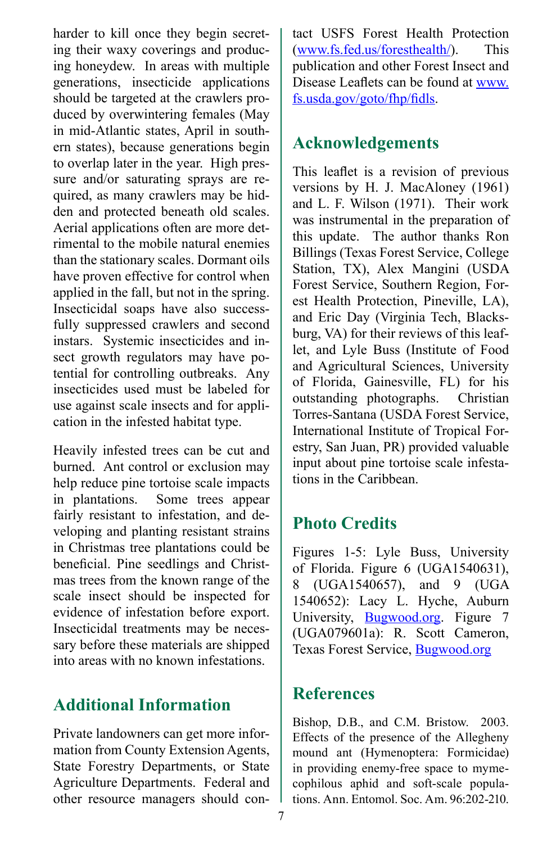harder to kill once they begin secreting their waxy coverings and producing honeydew. In areas with multiple generations, insecticide applications should be targeted at the crawlers produced by overwintering females (May in mid-Atlantic states, April in southern states), because generations begin to overlap later in the year. High pressure and/or saturating sprays are required, as many crawlers may be hidden and protected beneath old scales. Aerial applications often are more detrimental to the mobile natural enemies than the stationary scales. Dormant oils have proven effective for control when applied in the fall, but not in the spring. Insecticidal soaps have also successfully suppressed crawlers and second instars. Systemic insecticides and insect growth regulators may have potential for controlling outbreaks. Any insecticides used must be labeled for use against scale insects and for application in the infested habitat type.

Heavily infested trees can be cut and burned. Ant control or exclusion may help reduce pine tortoise scale impacts in plantations. Some trees appear fairly resistant to infestation, and developing and planting resistant strains in Christmas tree plantations could be beneficial. Pine seedlings and Christmas trees from the known range of the scale insect should be inspected for evidence of infestation before export. Insecticidal treatments may be necessary before these materials are shipped into areas with no known infestations.

## **Additional Information**

Private landowners can get more information from County Extension Agents, State Forestry Departments, or State Agriculture Departments. Federal and other resource managers should con-

tact USFS Forest Health Protection ([www.fs.fed.us/foresthealth/\)](http://www.fs.fed.us/foresthealth/). This publication and other Forest Insect and Disease Leaflets can be found at [www.](http://www.fs.usda.gov/goto/fhp/fidls) [fs.usda.gov/goto/fhp/fidls](http://www.fs.usda.gov/goto/fhp/fidls).

#### **Acknowledgements**

This leaflet is a revision of previous versions by H. J. MacAloney (1961) and L. F. Wilson (1971). Their work was instrumental in the preparation of this update. The author thanks Ron Billings (Texas Forest Service, College Station, TX), Alex Mangini (USDA Forest Service, Southern Region, Forest Health Protection, Pineville, LA), and Eric Day (Virginia Tech, Blacksburg, VA) for their reviews of this leaflet, and Lyle Buss (Institute of Food and Agricultural Sciences, University of Florida, Gainesville, FL) for his outstanding photographs. Christian Torres-Santana (USDA Forest Service, International Institute of Tropical Forestry, San Juan, PR) provided valuable input about pine tortoise scale infestations in the Caribbean.

#### **Photo Credits**

Figures 1-5: Lyle Buss, University of Florida. Figure 6 (UGA1540631), 8 (UGA1540657), and 9 (UGA 1540652): Lacy L. Hyche, Auburn University, [Bugwood.org.](http://Bugwood.org) Figure 7 (UGA079601a): R. Scott Cameron, Texas Forest Service, Bugwood.org

#### **References**

Bishop, D.B., and C.M. Bristow. 2003. Effects of the presence of the Allegheny mound ant (Hymenoptera: Formicidae) in providing enemy-free space to mymecophilous aphid and soft-scale populations. Ann. Entomol. Soc. Am. 96:202-210.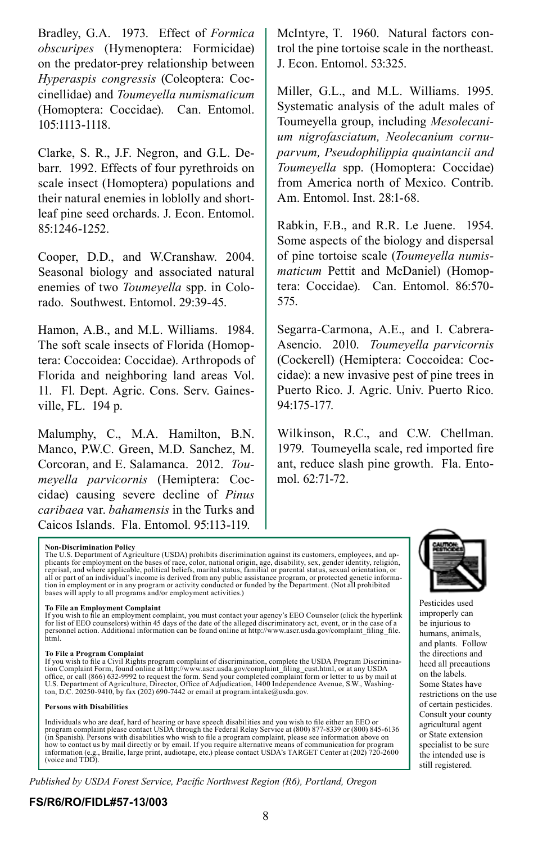Bradley, G.A. 1973. Effect of *Formica obscuripes* (Hymenoptera: Formicidae) on the predator-prey relationship between *Hyperaspis congressis* (Coleoptera: Coccinellidae) and *Toumeyella numismaticum* (Homoptera: Coccidae). Can. Entomol. 105:1113-1118.

Clarke, S. R., J.F. Negron, and G.L. Debarr. 1992. Effects of four pyrethroids on scale insect (Homoptera) populations and their natural enemies in loblolly and shortleaf pine seed orchards. J. Econ. Entomol. 85:1246-1252.

Cooper, D.D., and W.Cranshaw. 2004. Seasonal biology and associated natural enemies of two *Toumeyella* spp. in Colorado. Southwest. Entomol. 29:39-45.

Hamon, A.B., and M.L. Williams. 1984. The soft scale insects of Florida (Homoptera: Coccoidea: Coccidae). Arthropods of Florida and neighboring land areas Vol. 11. Fl. Dept. Agric. Cons. Serv. Gainesville, FL. 194 p.

Malumphy, C., M.A. Hamilton, B.N. Manco, P.W.C. Green, M.D. Sanchez, M. Corcoran, and E. Salamanca. 2012. *Toumeyella parvicornis* (Hemiptera: Coccidae) causing severe decline of *Pinus caribaea* var. *bahamensis* in the Turks and Caicos Islands. Fla. Entomol. 95:113-119.

McIntyre, T. 1960. Natural factors control the pine tortoise scale in the northeast. J. Econ. Entomol. 53:325.

Miller, G.L., and M.L. Williams. 1995. Systematic analysis of the adult males of Toumeyella group, including *Mesolecanium nigrofasciatum, Neolecanium cornuparvum, Pseudophilippia quaintancii and Toumeyella* spp. (Homoptera: Coccidae) from America north of Mexico. Contrib. Am. Entomol. Inst. 28:1-68.

Rabkin, F.B., and R.R. Le Juene. 1954. Some aspects of the biology and dispersal of pine tortoise scale (*Toumeyella numismaticum* Pettit and McDaniel) (Homoptera: Coccidae). Can. Entomol. 86:570- 575.

Segarra-Carmona, A.E., and I. Cabrera-Asencio. 2010. *Toumeyella parvicornis*  (Cockerell) (Hemiptera: Coccoidea: Coccidae): a new invasive pest of pine trees in Puerto Rico. J. Agric. Univ. Puerto Rico. 94:175-177.

Wilkinson, R.C., and C.W. Chellman. 1979. Toumeyella scale, red imported fire ant, reduce slash pine growth. Fla. Entomol. 62:71-72.

**Non-Discrimination Policy** plicants for employment on the bases of race, color, national origin, age, disability, sex, gender identity, religion, reprisal, and where applicable, political beliefs, marital status, familial or parental status, sexual orientation, or all or part of an individual's income is derived from any public assistance program, or protected genetic informa-<br>tion in employment or in any program or activity conducted or funded by the Department. (Not all prohibited

#### **To File an Employment Complaint**

If you wish to file an employment complaint, you must contact your agency's EEO Counselor (click the hyperlink for list of EEO counselors) within 45 days of the date of the alleged discriminatory act, event, or in the case of a personnel action. Additional information can be found online at http://www.ascr.usda.gov/complaint\_filing\_file. html.

**To File a Program Complaint** tion Complaint Form, found online at http://www.ascr.usda.gov/complaint filing\_cust.html, or at any USDA office, or call (866) 632-9992 to request the form. Send your completed complaint form or letter to us by mail at<br>U.S. Department of Agriculture, Director, Office of Adjudication, 1400 Independence Avenue, S.W., Washing-<br>t

#### **Persons with Disabilities**

Individuals who are deaf, hard of hearing or have speech disabilities and you wish to file either an EEO or<br>program complaint please contact USDA through the Federal Relay Service at (800) 877-8339 or (800) 845-6136<br>(in Sp how to contact us by mail directly or by email. If you require alternative means of communication for program information (e.g., Braille, large print, audiotape, etc.) please contact USDA's TARGET Center at (202) 720-2600 (voice and TDD).

*Published by USDA Forest Service, Pacific Northwest Region (R6), Portland, Oregon*



Pesticides used improperly can be injurious to humans, animals, and plants. Follow the directions and heed all precautions on the labels. Some States have restrictions on the use of certain pesticides. Consult your county agricultural agent or State extension specialist to be sure the intended use is still registered.

#### **FS/R6/RO/FIDL#57-13/003**